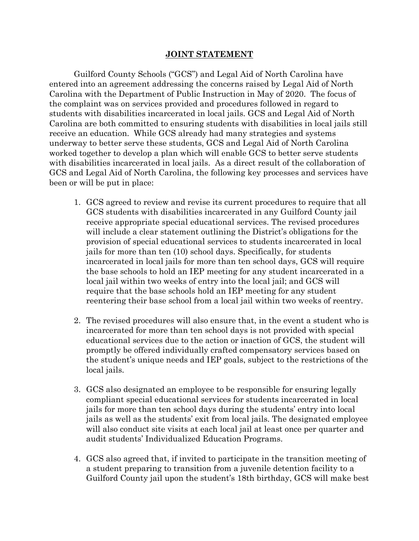## **JOINT STATEMENT**

Guilford County Schools ("GCS") and Legal Aid of North Carolina have entered into an agreement addressing the concerns raised by Legal Aid of North Carolina with the Department of Public Instruction in May of 2020. The focus of the complaint was on services provided and procedures followed in regard to students with disabilities incarcerated in local jails. GCS and Legal Aid of North Carolina are both committed to ensuring students with disabilities in local jails still receive an education. While GCS already had many strategies and systems underway to better serve these students, GCS and Legal Aid of North Carolina worked together to develop a plan which will enable GCS to better serve students with disabilities incarcerated in local jails. As a direct result of the collaboration of GCS and Legal Aid of North Carolina, the following key processes and services have been or will be put in place:

- 1. GCS agreed to review and revise its current procedures to require that all GCS students with disabilities incarcerated in any Guilford County jail receive appropriate special educational services. The revised procedures will include a clear statement outlining the District's obligations for the provision of special educational services to students incarcerated in local jails for more than ten (10) school days. Specifically, for students incarcerated in local jails for more than ten school days, GCS will require the base schools to hold an IEP meeting for any student incarcerated in a local jail within two weeks of entry into the local jail; and GCS will require that the base schools hold an IEP meeting for any student reentering their base school from a local jail within two weeks of reentry.
- 2. The revised procedures will also ensure that, in the event a student who is incarcerated for more than ten school days is not provided with special educational services due to the action or inaction of GCS, the student will promptly be offered individually crafted compensatory services based on the student's unique needs and IEP goals, subject to the restrictions of the local jails.
- 3. GCS also designated an employee to be responsible for ensuring legally compliant special educational services for students incarcerated in local jails for more than ten school days during the students' entry into local jails as well as the students' exit from local jails. The designated employee will also conduct site visits at each local jail at least once per quarter and audit students' Individualized Education Programs.
- 4. GCS also agreed that, if invited to participate in the transition meeting of a student preparing to transition from a juvenile detention facility to a Guilford County jail upon the student's 18th birthday, GCS will make best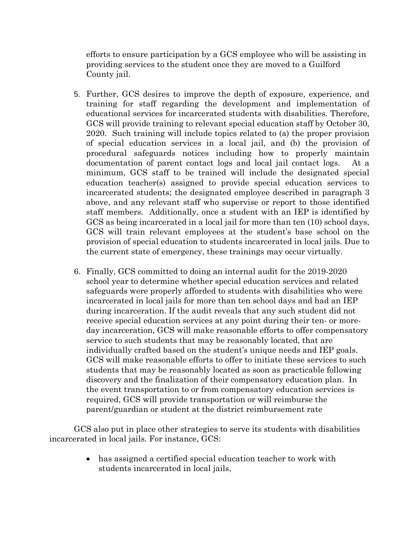efforts to ensure participation by a GCS employee who will be assisting in providing services to the student once they are moved to a Guilford County jail.

- 5. Further, GCS desires to improve the depth of exposure, experience, and training for staff regarding the development and implementation of educational services for incarcerated students with disabilities. Therefore, GCS will provide training to relevant special education staff by October 30, 2020. Such training will include topics related to (a) the proper provision of special education services in a local jail, and (b) the provision of procedural safeguards notices including how to properly maintain documentation of parent contact logs and local jail contact logs. At a minimum, GCS staff to be trained will include the designated special education teacher(s) assigned to provide special education services to incarcerated students; the designated employee described in paragraph 3 above, and any relevant staff who supervise or report to those identified staff members. Additionally, once a student with an IEP is identified by GCS as being incarcerated in a local jail for more than ten (10) school days, GCS will train relevant employees at the student's base school on the provision of special education to students incarcerated in local jails. Due to the current state of emergency, these trainings may occur virtually.
- 6. Finally, GCS committed to doing an internal audit for the 2019-2020 school year to determine whether special education services and related safeguards were properly afforded to students with disabilities who were incarcerated in local jails for more than ten school days and had an IEP during incarceration. If the audit reveals that any such student did not receive special education services at any point during their ten- or moreday incarceration, GCS will make reasonable efforts to offer compensatory service to such students that may be reasonably located, that are individually crafted based on the student's unique needs and IEP goals. GCS will make reasonable efforts to offer to initiate these services to such students that may be reasonably located as soon as practicable following discovery and the finalization of their compensatory education plan. In the event transportation to or from compensatory education services is required, GCS will provide transportation or will reimburse the parent/guardian or student at the district reimbursement rate

GCS also put in place other strategies to serve its students with disabilities incarcerated in local jails. For instance, GCS:

> has assigned a certified special education teacher to work with students incarcerated in local jails,